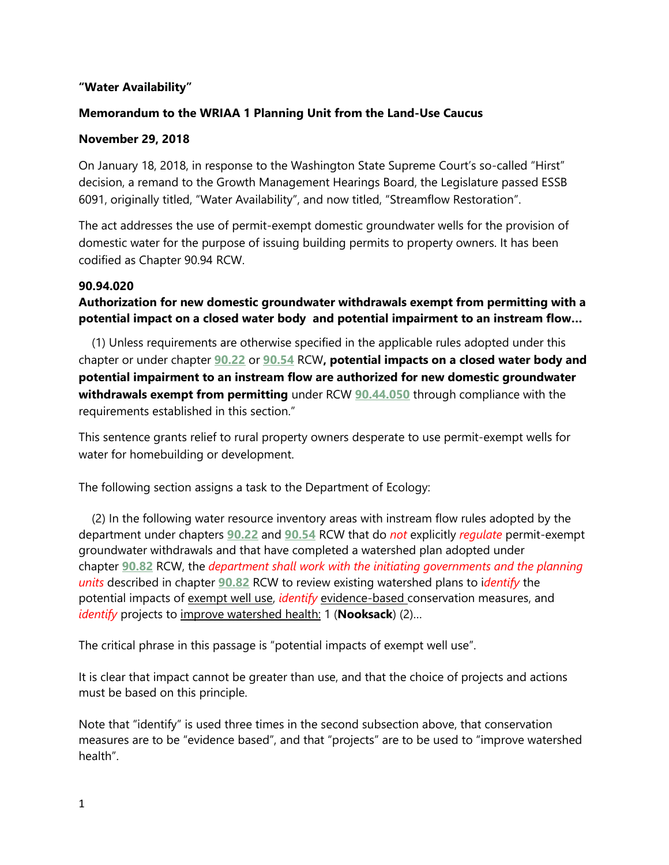## **"Water Availability"**

## **Memorandum to the WRIAA 1 Planning Unit from the Land-Use Caucus**

### **November 29, 2018**

On January 18, 2018, in response to the Washington State Supreme Court's so-called "Hirst" decision, a remand to the Growth Management Hearings Board, the Legislature passed ESSB 6091, originally titled, "Water Availability", and now titled, "Streamflow Restoration".

The act addresses the use of permit-exempt domestic groundwater wells for the provision of domestic water for the purpose of issuing building permits to property owners. It has been codified as Chapter 90.94 RCW.

#### **90.94.020**

# **Authorization for new domestic groundwater withdrawals exempt from permitting with a potential impact on a closed water body and potential impairment to an instream flow…**

 (1) Unless requirements are otherwise specified in the applicable rules adopted under this chapter or under chapter **[90.22](http://app.leg.wa.gov/RCW/default.aspx?cite=90.22)** or **[90.54](http://app.leg.wa.gov/RCW/default.aspx?cite=90.54)** RCW**, potential impacts on a closed water body and potential impairment to an instream flow are authorized for new domestic groundwater withdrawals exempt from permitting** under RCW **[90.44.050](http://app.leg.wa.gov/RCW/default.aspx?cite=90.44.050)** through compliance with the requirements established in this section."

This sentence grants relief to rural property owners desperate to use permit-exempt wells for water for homebuilding or development.

The following section assigns a task to the Department of Ecology:

 (2) In the following water resource inventory areas with instream flow rules adopted by the department under chapters **[90.22](http://app.leg.wa.gov/RCW/default.aspx?cite=90.22)** and **[90.54](http://app.leg.wa.gov/RCW/default.aspx?cite=90.54)** RCW that do *not* explicitly *regulate* permit-exempt groundwater withdrawals and that have completed a watershed plan adopted under chapter **[90.82](http://app.leg.wa.gov/RCW/default.aspx?cite=90.82)** RCW, the *department shall work with the initiating governments and the planning units* described in chapter **[90.82](http://app.leg.wa.gov/RCW/default.aspx?cite=90.82)** RCW to review existing watershed plans to i*dentify* the potential impacts of exempt well use, *identify* evidence-based conservation measures, and *identify* projects to improve watershed health: 1 (**Nooksack**) (2)…

The critical phrase in this passage is "potential impacts of exempt well use".

It is clear that impact cannot be greater than use, and that the choice of projects and actions must be based on this principle.

Note that "identify" is used three times in the second subsection above, that conservation measures are to be "evidence based", and that "projects" are to be used to "improve watershed health".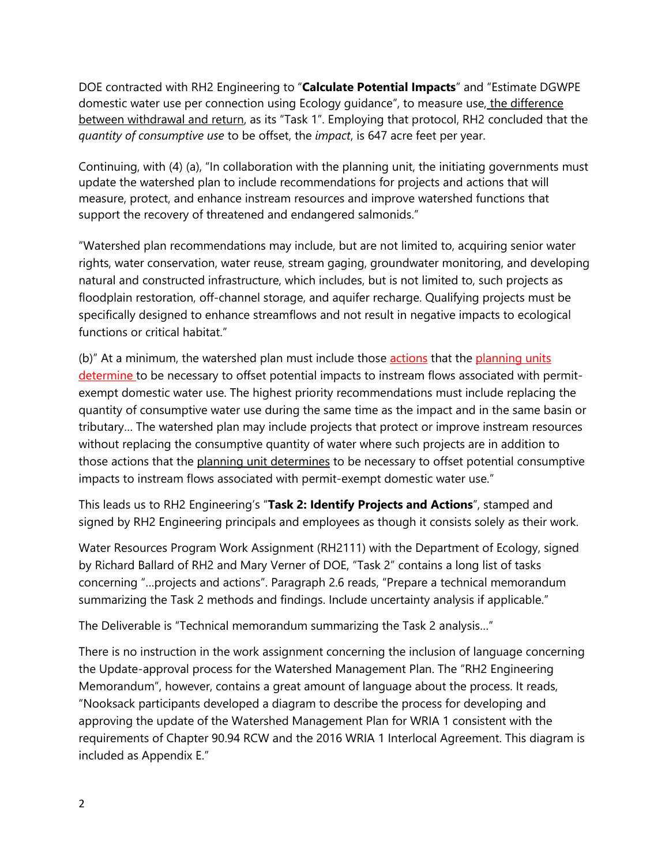DOE contracted with RH2 Engineering to "**Calculate Potential Impacts**" and "Estimate DGWPE domestic water use per connection using Ecology guidance", to measure use, the difference between withdrawal and return, as its "Task 1". Employing that protocol, RH2 concluded that the *quantity of consumptive use* to be offset, the *impact*, is 647 acre feet per year.

Continuing, with (4) (a), "In collaboration with the planning unit, the initiating governments must update the watershed plan to include recommendations for projects and actions that will measure, protect, and enhance instream resources and improve watershed functions that support the recovery of threatened and endangered salmonids."

"Watershed plan recommendations may include, but are not limited to, acquiring senior water rights, water conservation, water reuse, stream gaging, groundwater monitoring, and developing natural and constructed infrastructure, which includes, but is not limited to, such projects as floodplain restoration, off-channel storage, and aquifer recharge. Qualifying projects must be specifically designed to enhance streamflows and not result in negative impacts to ecological functions or critical habitat."

(b)" At a minimum, the watershed plan must include those actions that the planning units determine to be necessary to offset potential impacts to instream flows associated with permitexempt domestic water use. The highest priority recommendations must include replacing the quantity of consumptive water use during the same time as the impact and in the same basin or tributary… The watershed plan may include projects that protect or improve instream resources without replacing the consumptive quantity of water where such projects are in addition to those actions that the planning unit determines to be necessary to offset potential consumptive impacts to instream flows associated with permit-exempt domestic water use."

This leads us to RH2 Engineering's "**Task 2: Identify Projects and Actions**", stamped and signed by RH2 Engineering principals and employees as though it consists solely as their work.

Water Resources Program Work Assignment (RH2111) with the Department of Ecology, signed by Richard Ballard of RH2 and Mary Verner of DOE, "Task 2" contains a long list of tasks concerning "…projects and actions". Paragraph 2.6 reads, "Prepare a technical memorandum summarizing the Task 2 methods and findings. Include uncertainty analysis if applicable."

The Deliverable is "Technical memorandum summarizing the Task 2 analysis…"

There is no instruction in the work assignment concerning the inclusion of language concerning the Update-approval process for the Watershed Management Plan. The "RH2 Engineering Memorandum", however, contains a great amount of language about the process. It reads, "Nooksack participants developed a diagram to describe the process for developing and approving the update of the Watershed Management Plan for WRIA 1 consistent with the requirements of Chapter 90.94 RCW and the 2016 WRIA 1 Interlocal Agreement. This diagram is included as Appendix E."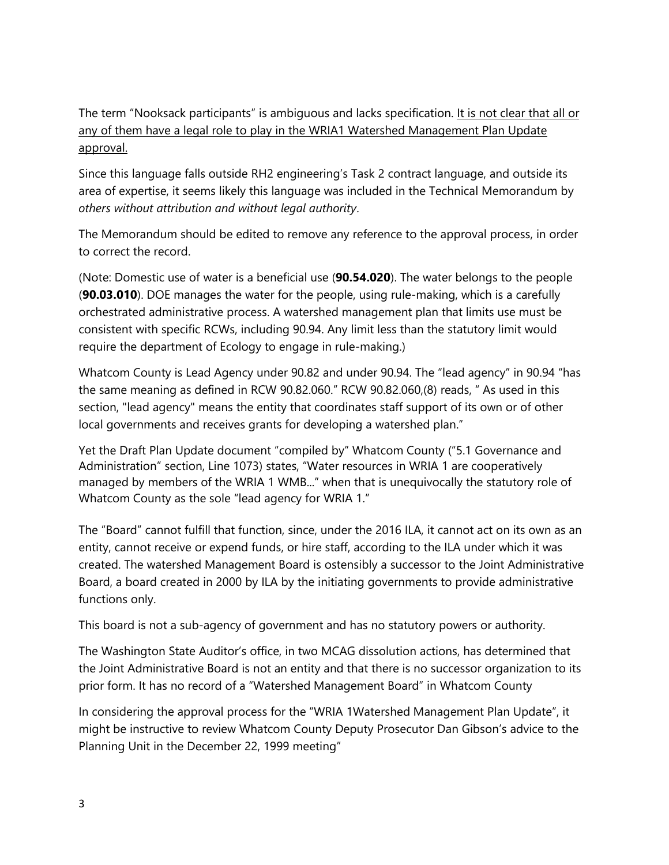The term "Nooksack participants" is ambiguous and lacks specification. It is not clear that all or any of them have a legal role to play in the WRIA1 Watershed Management Plan Update approval.

Since this language falls outside RH2 engineering's Task 2 contract language, and outside its area of expertise, it seems likely this language was included in the Technical Memorandum by *others without attribution and without legal authority*.

The Memorandum should be edited to remove any reference to the approval process, in order to correct the record.

(Note: Domestic use of water is a beneficial use (**90.54.020**). The water belongs to the people (**90.03.010**). DOE manages the water for the people, using rule-making, which is a carefully orchestrated administrative process. A watershed management plan that limits use must be consistent with specific RCWs, including 90.94. Any limit less than the statutory limit would require the department of Ecology to engage in rule-making.)

Whatcom County is Lead Agency under 90.82 and under 90.94. The "lead agency" in 90.94 "has the same meaning as defined in RCW 90.82.060." RCW 90.82.060,(8) reads, " As used in this section, "lead agency" means the entity that coordinates staff support of its own or of other local governments and receives grants for developing a watershed plan."

Yet the Draft Plan Update document "compiled by" Whatcom County ("5.1 Governance and Administration" section, Line 1073) states, "Water resources in WRIA 1 are cooperatively managed by members of the WRIA 1 WMB..." when that is unequivocally the statutory role of Whatcom County as the sole "lead agency for WRIA 1."

The "Board" cannot fulfill that function, since, under the 2016 ILA, it cannot act on its own as an entity, cannot receive or expend funds, or hire staff, according to the ILA under which it was created. The watershed Management Board is ostensibly a successor to the Joint Administrative Board, a board created in 2000 by ILA by the initiating governments to provide administrative functions only.

This board is not a sub-agency of government and has no statutory powers or authority.

The Washington State Auditor's office, in two MCAG dissolution actions, has determined that the Joint Administrative Board is not an entity and that there is no successor organization to its prior form. It has no record of a "Watershed Management Board" in Whatcom County

In considering the approval process for the "WRIA 1Watershed Management Plan Update", it might be instructive to review Whatcom County Deputy Prosecutor Dan Gibson's advice to the Planning Unit in the December 22, 1999 meeting"